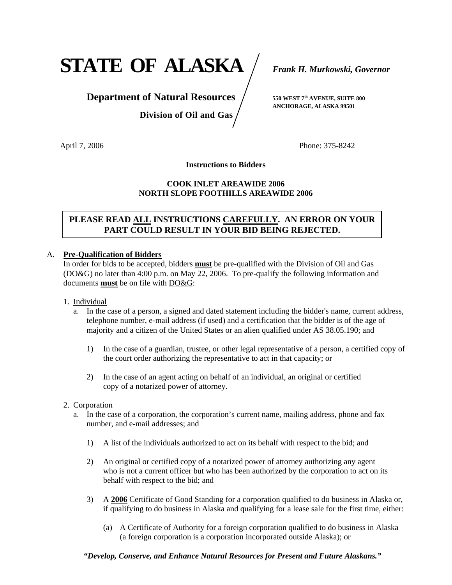**STATE OF ALASKA** *Frank H. Murkowski, Governor*

## **Department of Natural Resources** /  $_{550 \text{ WEST } 7^{\text{th}} \text{ AVENUE, SUTE } 800}$

 **Division of Oil and Gas** 

 **ANCHORAGE, ALASKA 99501**

April 7, 2006 **Phone: 375-8242** 

**Instructions to Bidders** 

#### **COOK INLET AREAWIDE 2006 NORTH SLOPE FOOTHILLS AREAWIDE 2006**

## **PLEASE READ ALL INSTRUCTIONS CAREFULLY. AN ERROR ON YOUR PART COULD RESULT IN YOUR BID BEING REJECTED.**

#### A. **Pre-Qualification of Bidders**

 In order for bids to be accepted, bidders **must** be pre-qualified with the Division of Oil and Gas (DO&G) no later than 4:00 p.m. on May 22, 2006. To pre-qualify the following information and documents **must** be on file with DO&G:

- 1. Individual
	- a. In the case of a person, a signed and dated statement including the bidder's name, current address, telephone number, e-mail address (if used) and a certification that the bidder is of the age of majority and a citizen of the United States or an alien qualified under AS 38.05.190; and
		- 1) In the case of a guardian, trustee, or other legal representative of a person, a certified copy of the court order authorizing the representative to act in that capacity; or
		- 2) In the case of an agent acting on behalf of an individual, an original or certified copy of a notarized power of attorney.
- 2. Corporation
	- a. In the case of a corporation, the corporation's current name, mailing address, phone and fax number, and e-mail addresses; and
		- 1) A list of the individuals authorized to act on its behalf with respect to the bid; and
		- 2) An original or certified copy of a notarized power of attorney authorizing any agent who is not a current officer but who has been authorized by the corporation to act on its behalf with respect to the bid; and
		- 3) A **2006** Certificate of Good Standing for a corporation qualified to do business in Alaska or, if qualifying to do business in Alaska and qualifying for a lease sale for the first time, either:
			- (a) A Certificate of Authority for a foreign corporation qualified to do business in Alaska (a foreign corporation is a corporation incorporated outside Alaska); or

*"Develop, Conserve, and Enhance Natural Resources for Present and Future Alaskans."*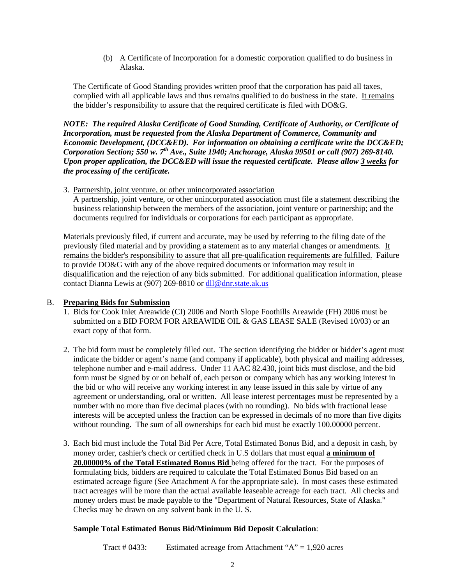(b) A Certificate of Incorporation for a domestic corporation qualified to do business in Alaska.

 The Certificate of Good Standing provides written proof that the corporation has paid all taxes, complied with all applicable laws and thus remains qualified to do business in the state. It remains the bidder's responsibility to assure that the required certificate is filed with DO&G.

*NOTE: The required Alaska Certificate of Good Standing, Certificate of Authority, or Certificate of Incorporation, must be requested from the Alaska Department of Commerce, Community and Economic Development, (DCC&ED). For information on obtaining a certificate write the DCC&ED; Corporation Section; 550 w. 7th Ave., Suite 1940; Anchorage, Alaska 99501 or call (907) 269-8140. Upon proper application, the DCC&ED will issue the requested certificate. Please allow 3 weeks for the processing of the certificate.* 

3. Partnership, joint venture, or other unincorporated association

A partnership, joint venture, or other unincorporated association must file a statement describing the business relationship between the members of the association, joint venture or partnership; and the documents required for individuals or corporations for each participant as appropriate.

 Materials previously filed, if current and accurate, may be used by referring to the filing date of the previously filed material and by providing a statement as to any material changes or amendments. It remains the bidder's responsibility to assure that all pre-qualification requirements are fulfilled. Failure to provide DO&G with any of the above required documents or information may result in disqualification and the rejection of any bids submitted. For additional qualification information, please contact Dianna Lewis at (907) 269-8810 or dll@dnr.state.ak.us

#### B. **Preparing Bids for Submission**

- 1. Bids for Cook Inlet Areawide (CI) 2006 and North Slope Foothills Areawide (FH) 2006 must be submitted on a BID FORM FOR AREAWIDE OIL & GAS LEASE SALE (Revised 10/03) or an exact copy of that form.
- 2. The bid form must be completely filled out. The section identifying the bidder or bidder's agent must indicate the bidder or agent's name (and company if applicable), both physical and mailing addresses, telephone number and e-mail address. Under 11 AAC 82.430, joint bids must disclose, and the bid form must be signed by or on behalf of, each person or company which has any working interest in the bid or who will receive any working interest in any lease issued in this sale by virtue of any agreement or understanding, oral or written. All lease interest percentages must be represented by a number with no more than five decimal places (with no rounding). No bids with fractional lease interests will be accepted unless the fraction can be expressed in decimals of no more than five digits without rounding. The sum of all ownerships for each bid must be exactly 100,00000 percent.
- 3. Each bid must include the Total Bid Per Acre, Total Estimated Bonus Bid, and a deposit in cash, by money order, cashier's check or certified check in U.S dollars that must equal **a minimum of 20.00000% of the Total Estimated Bonus Bid** being offered for the tract. For the purposes of formulating bids, bidders are required to calculate the Total Estimated Bonus Bid based on an estimated acreage figure (See Attachment A for the appropriate sale). In most cases these estimated tract acreages will be more than the actual available leaseable acreage for each tract. All checks and money orders must be made payable to the "Department of Natural Resources, State of Alaska." Checks may be drawn on any solvent bank in the U. S.

#### **Sample Total Estimated Bonus Bid/Minimum Bid Deposit Calculation**:

Tract # 0433: Estimated acreage from Attachment "A" = 1,920 acres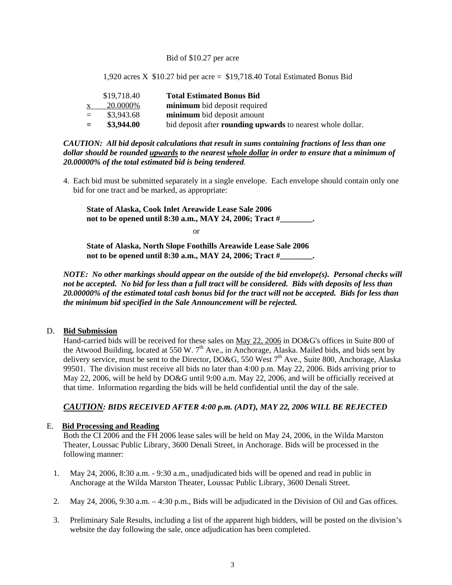#### Bid of \$10.27 per acre

1,920 acres X  $$10.27$  bid per acre =  $$19,718.40$  Total Estimated Bonus Bid

|     | \$19,718.40 | <b>Total Estimated Bonus Bid</b>                                   |
|-----|-------------|--------------------------------------------------------------------|
|     | 20.0000\%   | minimum bid deposit required                                       |
| $=$ | \$3,943.68  | minimum bid deposit amount                                         |
| $=$ | \$3,944.00  | bid deposit after <b>rounding upwards</b> to nearest whole dollar. |

*CAUTION: All bid deposit calculations that result in sums containing fractions of less than one dollar should be rounded upwards to the nearest whole dollar in order to ensure that a minimum of 20.00000% of the total estimated bid is being tendered.* 

 4. Each bid must be submitted separately in a single envelope. Each envelope should contain only one bid for one tract and be marked, as appropriate:

**State of Alaska, Cook Inlet Areawide Lease Sale 2006 not to be opened until 8:30 a.m., MAY 24, 2006; Tract #\_\_\_\_\_\_\_\_.** 

or

**State of Alaska, North Slope Foothills Areawide Lease Sale 2006 not to be opened until 8:30 a.m., MAY 24, 2006; Tract #\_\_\_\_\_\_\_\_.** 

*NOTE: No other markings should appear on the outside of the bid envelope(s). Personal checks will not be accepted. No bid for less than a full tract will be considered. Bids with deposits of less than 20.00000% of the estimated total cash bonus bid for the tract will not be accepted. Bids for less than the minimum bid specified in the Sale Announcement will be rejected.* 

#### D. **Bid Submission**

 Hand-carried bids will be received for these sales on May 22, 2006 in DO&G's offices in Suite 800 of the Atwood Building, located at 550 W. 7<sup>th</sup> Ave., in Anchorage, Alaska. Mailed bids, and bids sent by delivery service, must be sent to the Director, DO&G, 550 West  $7<sup>th</sup>$  Ave., Suite 800, Anchorage, Alaska 99501. The division must receive all bids no later than 4:00 p.m. May 22, 2006. Bids arriving prior to May 22, 2006, will be held by DO&G until 9:00 a.m. May 22, 2006, and will be officially received at that time. Information regarding the bids will be held confidential until the day of the sale.

#### *CAUTION: BIDS RECEIVED AFTER 4:00 p.m. (ADT), MAY 22, 2006 WILL BE REJECTED*

#### E. **Bid Processing and Reading**

Both the CI 2006 and the FH 2006 lease sales will be held on May 24, 2006, in the Wilda Marston Theater, Loussac Public Library, 3600 Denali Street, in Anchorage. Bids will be processed in the following manner:

- 1. May 24, 2006, 8:30 a.m. 9:30 a.m., unadjudicated bids will be opened and read in public in Anchorage at the Wilda Marston Theater, Loussac Public Library, 3600 Denali Street.
- 2. May 24, 2006, 9:30 a.m. 4:30 p.m., Bids will be adjudicated in the Division of Oil and Gas offices.
- 3. Preliminary Sale Results, including a list of the apparent high bidders, will be posted on the division's website the day following the sale, once adjudication has been completed.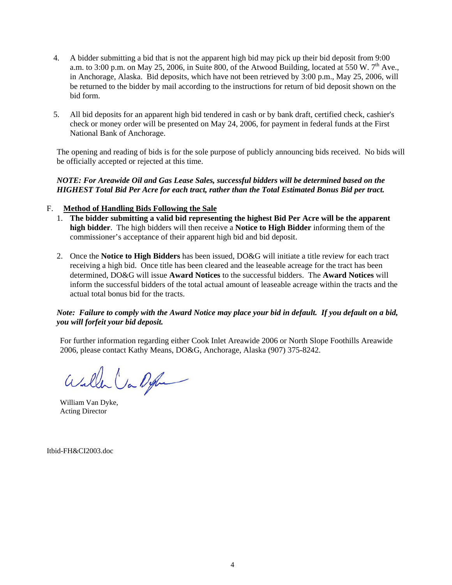- 4. A bidder submitting a bid that is not the apparent high bid may pick up their bid deposit from 9:00 a.m. to 3:00 p.m. on May 25, 2006, in Suite 800, of the Atwood Building, located at 550 W.  $7<sup>th</sup>$  Ave., in Anchorage, Alaska. Bid deposits, which have not been retrieved by 3:00 p.m., May 25, 2006, will be returned to the bidder by mail according to the instructions for return of bid deposit shown on the bid form.
- 5. All bid deposits for an apparent high bid tendered in cash or by bank draft, certified check, cashier's check or money order will be presented on May 24, 2006, for payment in federal funds at the First National Bank of Anchorage.

The opening and reading of bids is for the sole purpose of publicly announcing bids received. No bids will be officially accepted or rejected at this time.

#### *NOTE: For Areawide Oil and Gas Lease Sales, successful bidders will be determined based on the HIGHEST Total Bid Per Acre for each tract, rather than the Total Estimated Bonus Bid per tract.*

#### F. **Method of Handling Bids Following the Sale**

- 1. **The bidder submitting a valid bid representing the highest Bid Per Acre will be the apparent high bidder**. The high bidders will then receive a **Notice to High Bidder** informing them of the commissioner's acceptance of their apparent high bid and bid deposit.
- 2. Once the **Notice to High Bidders** has been issued, DO&G will initiate a title review for each tract receiving a high bid. Once title has been cleared and the leaseable acreage for the tract has been determined, DO&G will issue **Award Notices** to the successful bidders. The **Award Notices** will inform the successful bidders of the total actual amount of leaseable acreage within the tracts and the actual total bonus bid for the tracts.

#### *Note: Failure to comply with the Award Notice may place your bid in default. If you default on a bid, you will forfeit your bid deposit.*

For further information regarding either Cook Inlet Areawide 2006 or North Slope Foothills Areawide 2006, please contact Kathy Means, DO&G, Anchorage, Alaska (907) 375-8242.

Willen Var Dyle

William Van Dyke, Acting Director

Itbid-FH&CI2003.doc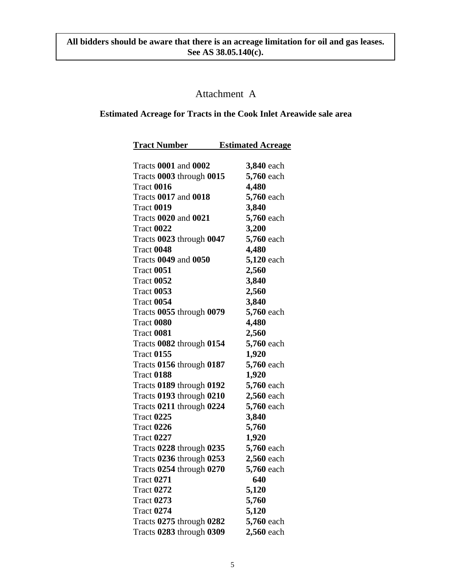## Attachment A

### **Estimated Acreage for Tracts in the Cook Inlet Areawide sale area**

| <b>Tract Number</b>         | <b>Estimated Acreage</b> |
|-----------------------------|--------------------------|
| <b>Tracts 0001 and 0002</b> | 3,840 each               |
| Tracts 0003 through 0015    | 5,760 each               |
| Tract 0016                  | 4,480                    |
| <b>Tracts 0017 and 0018</b> | 5,760 each               |
| <b>Tract 0019</b>           | 3,840                    |
| <b>Tracts 0020 and 0021</b> | 5,760 each               |
| <b>Tract 0022</b>           | 3,200                    |
| Tracts 0023 through 0047    | 5,760 each               |
| Tract 0048                  | 4,480                    |
| <b>Tracts 0049 and 0050</b> | 5,120 each               |
| <b>Tract 0051</b>           | 2,560                    |
| <b>Tract 0052</b>           | 3,840                    |
| <b>Tract 0053</b>           | 2,560                    |
| <b>Tract 0054</b>           | 3,840                    |
| Tracts 0055 through 0079    | 5,760 each               |
| Tract 0080                  | 4,480                    |
| <b>Tract 0081</b>           | 2,560                    |
| Tracts 0082 through 0154    | 5,760 each               |
| <b>Tract 0155</b>           | 1,920                    |
| Tracts 0156 through 0187    | 5,760 each               |
| <b>Tract 0188</b>           | 1,920                    |
| Tracts 0189 through 0192    | 5,760 each               |
| Tracts 0193 through 0210    | 2,560 each               |
| Tracts 0211 through 0224    | 5,760 each               |
| Tract 0225                  | 3,840                    |
| <b>Tract 0226</b>           | 5,760                    |
| <b>Tract 0227</b>           | 1,920                    |
| Tracts 0228 through 0235    | 5,760 each               |
| Tracts 0236 through 0253    | 2,560 each               |
| Tracts 0254 through 0270    | 5,760 each               |
| <b>Tract 0271</b>           | 640                      |
| <b>Tract 0272</b>           | 5,120                    |
| <b>Tract 0273</b>           | 5,760                    |
| <b>Tract 0274</b>           | 5,120                    |
| Tracts 0275 through 0282    | 5,760 each               |
| Tracts 0283 through 0309    | 2,560 each               |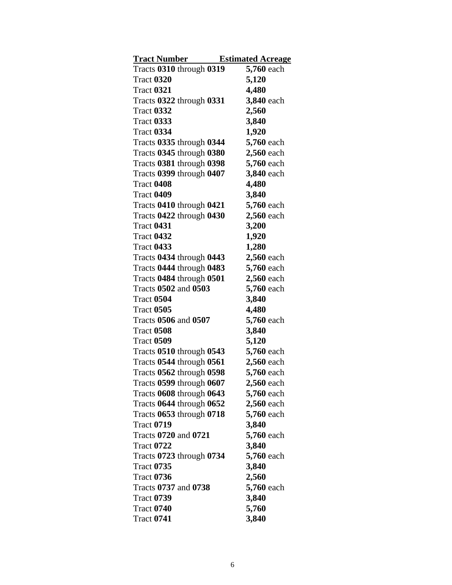| <b>Tract Number</b>                               | <b>Estimated Acreage</b> |
|---------------------------------------------------|--------------------------|
| Tracts 0310 through 0319                          | 5,760 each               |
| <b>Tract 0320</b>                                 | 5,120                    |
| <b>Tract 0321</b>                                 | 4,480                    |
| Tracts 0322 through 0331                          | 3,840 each               |
| <b>Tract 0332</b>                                 | 2,560                    |
| <b>Tract 0333</b>                                 | 3,840                    |
| <b>Tract 0334</b>                                 | 1,920                    |
| Tracts 0335 through 0344                          | 5,760 each               |
| Tracts 0345 through 0380                          | 2,560 each               |
| Tracts 0381 through 0398                          | 5,760 each               |
| Tracts 0399 through 0407                          | 3,840 each               |
| <b>Tract 0408</b>                                 | 4,480                    |
| <b>Tract 0409</b>                                 | 3,840                    |
| Tracts 0410 through 0421                          | 5,760 each               |
| Tracts 0422 through 0430                          | 2,560 each               |
| <b>Tract 0431</b>                                 | 3,200                    |
| Tract 0432                                        | 1,920                    |
| <b>Tract 0433</b>                                 | 1,280                    |
| Tracts 0434 through 0443                          | 2,560 each               |
| Tracts 0444 through 0483                          | 5,760 each               |
| Tracts 0484 through 0501                          | 2,560 each               |
| Tracts 0502 and 0503                              | 5,760 each               |
| <b>Tract 0504</b>                                 | 3,840                    |
| <b>Tract 0505</b>                                 | 4,480                    |
| Tracts 0506 and 0507                              | 5,760 each               |
| <b>Tract 0508</b>                                 | 3,840                    |
| <b>Tract 0509</b>                                 | 5,120                    |
| Tracts 0510 through 0543                          | 5,760 each               |
| Tracts 0544 through 0561                          | 2,560 each               |
| Tracts 0562 through 0598                          | 5,760 each               |
| Tracts 0599 through 0607                          | <b>2,560</b> each        |
| Tracts 0608 through 0643                          | 5,760 each               |
| Tracts 0644 through 0652                          | 2,560 each               |
| Tracts 0653 through 0718                          | 5,760 each               |
| <b>Tract 0719</b>                                 | 3,840                    |
| Tracts 0720 and 0721                              | 5,760 each               |
| Tract 0722                                        | 3,840                    |
| Tracts $0723$ through $0734$<br><b>Tract 0735</b> | 5,760 each               |
| <b>Tract 0736</b>                                 | 3,840                    |
| Tracts 0737 and 0738                              | 2,560<br>5,760 each      |
| Tract 0739                                        | 3,840                    |
| <b>Tract 0740</b>                                 | 5,760                    |
|                                                   | 3,840                    |
| Tract 0741                                        |                          |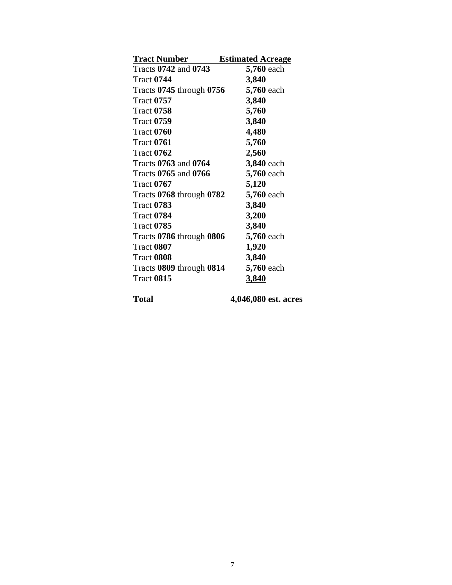| <b>Tract Number</b>      | <b>Estimated Acreage</b> |
|--------------------------|--------------------------|
| Tracts 0742 and 0743     | 5,760 each               |
| <b>Tract 0744</b>        | 3,840                    |
| Tracts 0745 through 0756 | 5,760 each               |
| <b>Tract 0757</b>        | 3,840                    |
| <b>Tract 0758</b>        | 5,760                    |
| <b>Tract 0759</b>        | 3,840                    |
| <b>Tract 0760</b>        | 4,480                    |
| <b>Tract 0761</b>        | 5,760                    |
| <b>Tract 0762</b>        | 2,560                    |
| Tracts 0763 and 0764     | 3,840 each               |
| Tracts 0765 and 0766     | 5,760 each               |
| Tract 0767               | 5,120                    |
| Tracts 0768 through 0782 | 5,760 each               |
| <b>Tract 0783</b>        | 3,840                    |
| <b>Tract 0784</b>        | 3,200                    |
| <b>Tract 0785</b>        | 3,840                    |
| Tracts 0786 through 0806 | 5,760 each               |
| <b>Tract 0807</b>        | 1,920                    |
| <b>Tract 0808</b>        | 3,840                    |
| Tracts 0809 through 0814 | 5,760 each               |
| <b>Tract 0815</b>        | 3,840                    |

**Total 4,046,080 est. acres**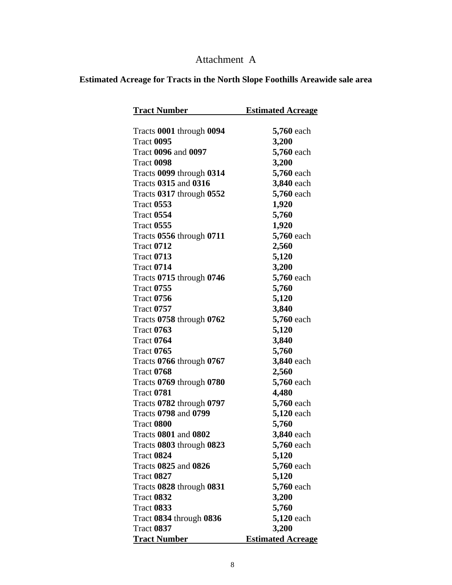# Attachment A

## **Estimated Acreage for Tracts in the North Slope Foothills Areawide sale area**

| <b>Tract Number</b>         | <b>Estimated Acreage</b> |
|-----------------------------|--------------------------|
| Tracts 0001 through 0094    | <b>5,760</b> each        |
| <b>Tract 0095</b>           | 3,200                    |
| <b>Tract 0096 and 0097</b>  | 5,760 each               |
| <b>Tract 0098</b>           | 3,200                    |
| Tracts 0099 through 0314    | 5,760 each               |
| <b>Tracts 0315 and 0316</b> | 3,840 each               |
| Tracts 0317 through 0552    | 5,760 each               |
| <b>Tract 0553</b>           | 1,920                    |
| <b>Tract 0554</b>           | 5,760                    |
| <b>Tract 0555</b>           | 1,920                    |
| Tracts 0556 through 0711    | 5,760 each               |
| <b>Tract 0712</b>           | 2,560                    |
| <b>Tract 0713</b>           | 5,120                    |
| <b>Tract 0714</b>           | 3,200                    |
| Tracts 0715 through 0746    | 5,760 each               |
| <b>Tract 0755</b>           | 5,760                    |
| <b>Tract 0756</b>           | 5,120                    |
| <b>Tract 0757</b>           | 3,840                    |
| Tracts 0758 through 0762    | 5,760 each               |
| <b>Tract 0763</b>           | 5,120                    |
| <b>Tract 0764</b>           | 3,840                    |
| <b>Tract 0765</b>           | 5,760                    |
| Tracts 0766 through 0767    | 3,840 each               |
| <b>Tract 0768</b>           | 2,560                    |
| Tracts 0769 through 0780    | 5,760 each               |
| <b>Tract 0781</b>           | 4,480                    |
| Tracts 0782 through 0797    | 5,760 each               |
| <b>Tracts 0798 and 0799</b> | 5,120 each               |
| <b>Tract 0800</b>           | 5,760                    |
| Tracts 0801 and 0802        | 3,840 each               |
| Tracts 0803 through 0823    | 5,760 each               |
| <b>Tract 0824</b>           | 5,120                    |
| <b>Tracts 0825 and 0826</b> | 5,760 each               |
| <b>Tract 0827</b>           | 5,120                    |
| Tracts 0828 through 0831    | 5,760 each               |
| <b>Tract 0832</b>           | 3,200                    |
| <b>Tract 0833</b>           | 5,760                    |
| Tract 0834 through 0836     | 5,120 each               |
| <b>Tract 0837</b>           | 3,200                    |
| <u>Tract Number</u>         | <b>Estimated Acreage</b> |